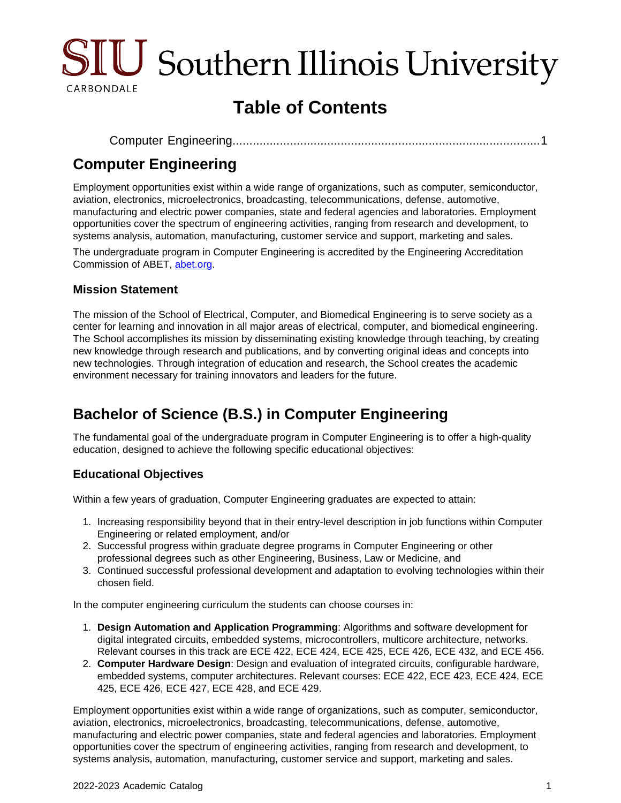

# **Table of Contents**

```
Computer Engineering...........................................................................................1
```
## <span id="page-0-0"></span>**Computer Engineering**

Employment opportunities exist within a wide range of organizations, such as computer, semiconductor, aviation, electronics, microelectronics, broadcasting, telecommunications, defense, automotive, manufacturing and electric power companies, state and federal agencies and laboratories. Employment opportunities cover the spectrum of engineering activities, ranging from research and development, to systems analysis, automation, manufacturing, customer service and support, marketing and sales.

The undergraduate program in Computer Engineering is accredited by the Engineering Accreditation Commission of ABET, [abet.org](https://www.abet.org/).

### **Mission Statement**

The mission of the School of Electrical, Computer, and Biomedical Engineering is to serve society as a center for learning and innovation in all major areas of electrical, computer, and biomedical engineering. The School accomplishes its mission by disseminating existing knowledge through teaching, by creating new knowledge through research and publications, and by converting original ideas and concepts into new technologies. Through integration of education and research, the School creates the academic environment necessary for training innovators and leaders for the future.

# **Bachelor of Science (B.S.) in Computer Engineering**

The fundamental goal of the undergraduate program in Computer Engineering is to offer a high-quality education, designed to achieve the following specific educational objectives:

### **Educational Objectives**

Within a few years of graduation, Computer Engineering graduates are expected to attain:

- 1. Increasing responsibility beyond that in their entry-level description in job functions within Computer Engineering or related employment, and/or
- 2. Successful progress within graduate degree programs in Computer Engineering or other professional degrees such as other Engineering, Business, Law or Medicine, and
- 3. Continued successful professional development and adaptation to evolving technologies within their chosen field.

In the computer engineering curriculum the students can choose courses in:

- 1. **Design Automation and Application Programming**: Algorithms and software development for digital integrated circuits, embedded systems, microcontrollers, multicore architecture, networks. Relevant courses in this track are ECE 422, ECE 424, ECE 425, ECE 426, ECE 432, and ECE 456.
- 2. **Computer Hardware Design**: Design and evaluation of integrated circuits, configurable hardware, embedded systems, computer architectures. Relevant courses: ECE 422, ECE 423, ECE 424, ECE 425, ECE 426, ECE 427, ECE 428, and ECE 429.

Employment opportunities exist within a wide range of organizations, such as computer, semiconductor, aviation, electronics, microelectronics, broadcasting, telecommunications, defense, automotive, manufacturing and electric power companies, state and federal agencies and laboratories. Employment opportunities cover the spectrum of engineering activities, ranging from research and development, to systems analysis, automation, manufacturing, customer service and support, marketing and sales.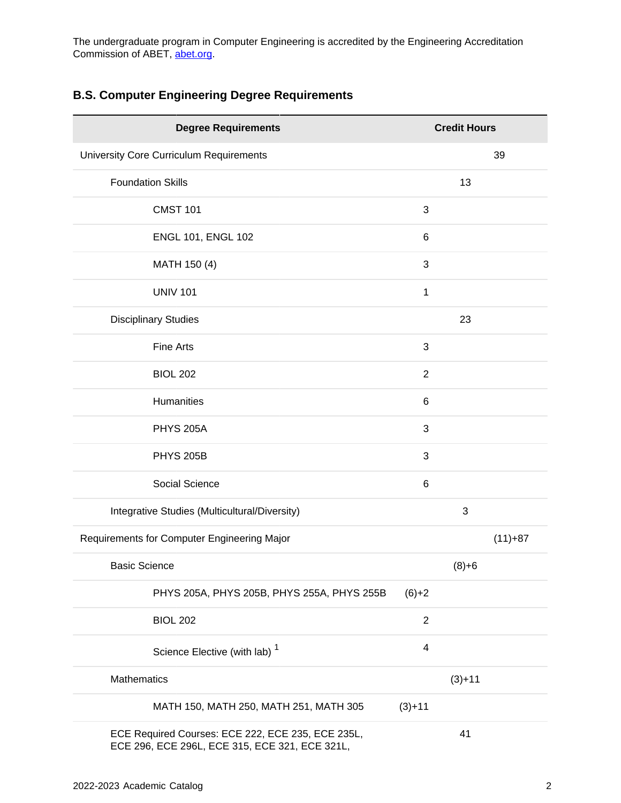The undergraduate program in Computer Engineering is accredited by the Engineering Accreditation Commission of ABET, [abet.org](https://www.abet.org/).

### **B.S. Computer Engineering Degree Requirements**

| <b>Degree Requirements</b>                                                                          |                | <b>Credit Hours</b> |           |
|-----------------------------------------------------------------------------------------------------|----------------|---------------------|-----------|
| University Core Curriculum Requirements                                                             |                |                     | 39        |
| <b>Foundation Skills</b>                                                                            |                | 13                  |           |
| <b>CMST 101</b>                                                                                     | 3              |                     |           |
| <b>ENGL 101, ENGL 102</b>                                                                           | 6              |                     |           |
| MATH 150 (4)                                                                                        | 3              |                     |           |
| <b>UNIV 101</b>                                                                                     | 1              |                     |           |
| <b>Disciplinary Studies</b>                                                                         |                | 23                  |           |
| <b>Fine Arts</b>                                                                                    | 3              |                     |           |
| <b>BIOL 202</b>                                                                                     | $\overline{2}$ |                     |           |
| Humanities                                                                                          | $\,6$          |                     |           |
| <b>PHYS 205A</b>                                                                                    | 3              |                     |           |
| <b>PHYS 205B</b>                                                                                    | 3              |                     |           |
| Social Science                                                                                      | $\,6$          |                     |           |
| Integrative Studies (Multicultural/Diversity)                                                       |                | 3                   |           |
| Requirements for Computer Engineering Major                                                         |                |                     | $(11)+87$ |
| <b>Basic Science</b>                                                                                |                | $(8)+6$             |           |
| PHYS 205A, PHYS 205B, PHYS 255A, PHYS 255B                                                          | $(6)+2$        |                     |           |
| <b>BIOL 202</b>                                                                                     | $\overline{2}$ |                     |           |
| Science Elective (with lab) <sup>1</sup>                                                            | 4              |                     |           |
| Mathematics                                                                                         |                | $(3)+11$            |           |
| MATH 150, MATH 250, MATH 251, MATH 305                                                              | $(3)+11$       |                     |           |
| ECE Required Courses: ECE 222, ECE 235, ECE 235L,<br>ECE 296, ECE 296L, ECE 315, ECE 321, ECE 321L, |                | 41                  |           |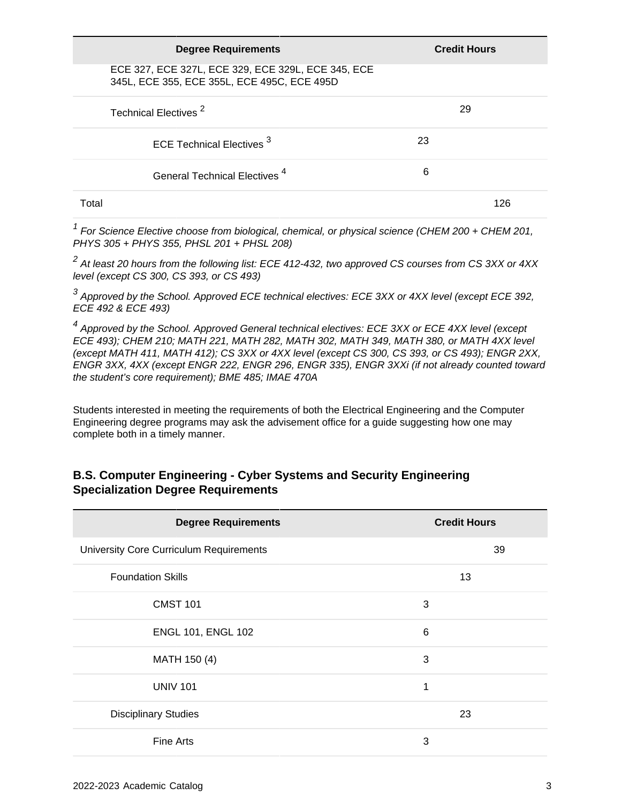| <b>Degree Requirements</b>                                                                        |    | <b>Credit Hours</b> |
|---------------------------------------------------------------------------------------------------|----|---------------------|
| ECE 327, ECE 327L, ECE 329, ECE 329L, ECE 345, ECE<br>345L, ECE 355, ECE 355L, ECE 495C, ECE 495D |    |                     |
| Technical Electives <sup>2</sup>                                                                  |    | 29                  |
| ECE Technical Electives <sup>3</sup>                                                              | 23 |                     |
| General Technical Electives <sup>4</sup>                                                          | 6  |                     |
| Total                                                                                             |    | 126                 |

 $1$  For Science Elective choose from biological, chemical, or physical science (CHEM 200 + CHEM 201, PHYS 305 + PHYS 355, PHSL 201 + PHSL 208)

 $^2$  At least 20 hours from the following list: ECE 412-432, two approved CS courses from CS 3XX or 4XX level (except CS 300, CS 393, or CS 493)

 $^3$  Approved by the School. Approved ECE technical electives: ECE 3XX or 4XX level (except ECE 392, ECE 492 & ECE 493)

<sup>4</sup> Approved by the School. Approved General technical electives: ECE 3XX or ECE 4XX level (except ECE 493); CHEM 210; MATH 221, MATH 282, MATH 302, MATH 349, MATH 380, or MATH 4XX level (except MATH 411, MATH 412); CS 3XX or 4XX level (except CS 300, CS 393, or CS 493); ENGR 2XX, ENGR 3XX, 4XX (except ENGR 222, ENGR 296, ENGR 335), ENGR 3XXi (if not already counted toward the student's core requirement); BME 485; IMAE 470A

Students interested in meeting the requirements of both the Electrical Engineering and the Computer Engineering degree programs may ask the advisement office for a guide suggesting how one may complete both in a timely manner.

### **B.S. Computer Engineering - Cyber Systems and Security Engineering Specialization Degree Requirements**

| <b>Degree Requirements</b>              | <b>Credit Hours</b> |  |  |
|-----------------------------------------|---------------------|--|--|
| University Core Curriculum Requirements | 39                  |  |  |
| <b>Foundation Skills</b>                | 13                  |  |  |
| <b>CMST 101</b>                         | 3                   |  |  |
| <b>ENGL 101, ENGL 102</b>               | 6                   |  |  |
| MATH 150 (4)                            | 3                   |  |  |
| <b>UNIV 101</b>                         | 1                   |  |  |
| <b>Disciplinary Studies</b>             | 23                  |  |  |
| <b>Fine Arts</b>                        | 3                   |  |  |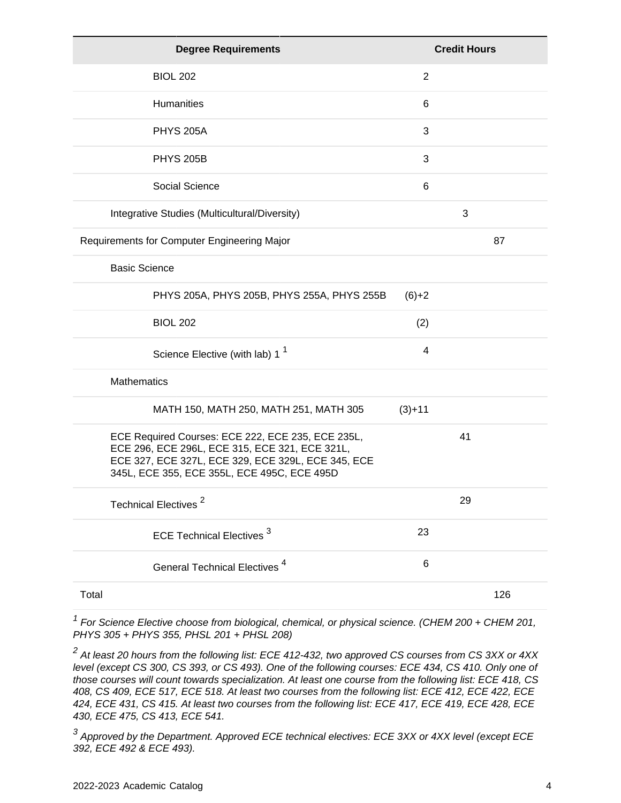| <b>Degree Requirements</b>                                                                                                                                                                               |                | <b>Credit Hours</b> |
|----------------------------------------------------------------------------------------------------------------------------------------------------------------------------------------------------------|----------------|---------------------|
| <b>BIOL 202</b>                                                                                                                                                                                          | $\overline{2}$ |                     |
| <b>Humanities</b>                                                                                                                                                                                        | 6              |                     |
| <b>PHYS 205A</b>                                                                                                                                                                                         | 3              |                     |
| <b>PHYS 205B</b>                                                                                                                                                                                         | 3              |                     |
| Social Science                                                                                                                                                                                           | 6              |                     |
| Integrative Studies (Multicultural/Diversity)                                                                                                                                                            |                | 3                   |
| Requirements for Computer Engineering Major                                                                                                                                                              |                | 87                  |
| <b>Basic Science</b>                                                                                                                                                                                     |                |                     |
| PHYS 205A, PHYS 205B, PHYS 255A, PHYS 255B                                                                                                                                                               | $(6)+2$        |                     |
| <b>BIOL 202</b>                                                                                                                                                                                          | (2)            |                     |
| Science Elective (with lab) 1 <sup>1</sup>                                                                                                                                                               | 4              |                     |
| <b>Mathematics</b>                                                                                                                                                                                       |                |                     |
| MATH 150, MATH 250, MATH 251, MATH 305                                                                                                                                                                   | $(3)+11$       |                     |
| ECE Required Courses: ECE 222, ECE 235, ECE 235L,<br>ECE 296, ECE 296L, ECE 315, ECE 321, ECE 321L,<br>ECE 327, ECE 327L, ECE 329, ECE 329L, ECE 345, ECE<br>345L, ECE 355, ECE 355L, ECE 495C, ECE 495D |                | 41                  |
| Technical Electives <sup>2</sup>                                                                                                                                                                         |                | 29                  |
| <b>ECE Technical Electives<sup>3</sup></b>                                                                                                                                                               | 23             |                     |
| General Technical Electives <sup>4</sup>                                                                                                                                                                 | 6              |                     |
| Total                                                                                                                                                                                                    |                | 126                 |

 $1$  For Science Elective choose from biological, chemical, or physical science. (CHEM 200 + CHEM 201, PHYS 305 + PHYS 355, PHSL 201 + PHSL 208)

 $^2$  At least 20 hours from the following list: ECE 412-432, two approved CS courses from CS 3XX or 4XX level (except CS 300, CS 393, or CS 493). One of the following courses: ECE 434, CS 410. Only one of those courses will count towards specialization. At least one course from the following list: ECE 418, CS 408, CS 409, ECE 517, ECE 518. At least two courses from the following list: ECE 412, ECE 422, ECE 424, ECE 431, CS 415. At least two courses from the following list: ECE 417, ECE 419, ECE 428, ECE 430, ECE 475, CS 413, ECE 541.

 $^3$  Approved by the Department. Approved ECE technical electives: ECE 3XX or 4XX level (except ECE 392, ECE 492 & ECE 493).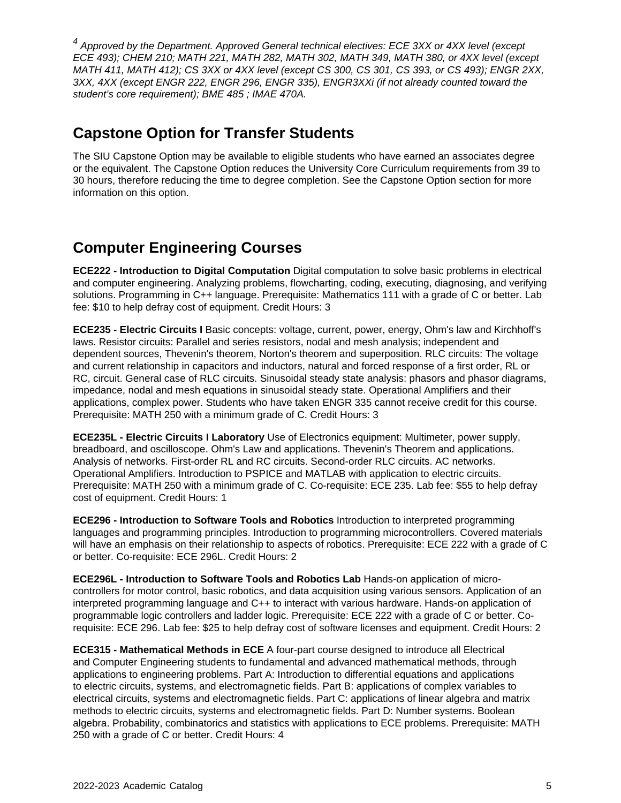<sup>4</sup> Approved by the Department. Approved General technical electives: ECE 3XX or 4XX level (except ECE 493); CHEM 210; MATH 221, MATH 282, MATH 302, MATH 349, MATH 380, or 4XX level (except MATH 411, MATH 412); CS 3XX or 4XX level (except CS 300, CS 301, CS 393, or CS 493); ENGR 2XX, 3XX, 4XX (except ENGR 222, ENGR 296, ENGR 335), ENGR3XXi (if not already counted toward the student's core requirement); BME 485 ; IMAE 470A.

### **Capstone Option for Transfer Students**

The SIU Capstone Option may be available to eligible students who have earned an associates degree or the equivalent. The Capstone Option reduces the University Core Curriculum requirements from 39 to 30 hours, therefore reducing the time to degree completion. See the Capstone Option section for more information on this option.

## **Computer Engineering Courses**

**ECE222 - Introduction to Digital Computation** Digital computation to solve basic problems in electrical and computer engineering. Analyzing problems, flowcharting, coding, executing, diagnosing, and verifying solutions. Programming in C++ language. Prerequisite: Mathematics 111 with a grade of C or better. Lab fee: \$10 to help defray cost of equipment. Credit Hours: 3

**ECE235 - Electric Circuits I** Basic concepts: voltage, current, power, energy, Ohm's law and Kirchhoff's laws. Resistor circuits: Parallel and series resistors, nodal and mesh analysis; independent and dependent sources, Thevenin's theorem, Norton's theorem and superposition. RLC circuits: The voltage and current relationship in capacitors and inductors, natural and forced response of a first order, RL or RC, circuit. General case of RLC circuits. Sinusoidal steady state analysis: phasors and phasor diagrams, impedance, nodal and mesh equations in sinusoidal steady state. Operational Amplifiers and their applications, complex power. Students who have taken ENGR 335 cannot receive credit for this course. Prerequisite: MATH 250 with a minimum grade of C. Credit Hours: 3

**ECE235L - Electric Circuits I Laboratory** Use of Electronics equipment: Multimeter, power supply, breadboard, and oscilloscope. Ohm's Law and applications. Thevenin's Theorem and applications. Analysis of networks. First-order RL and RC circuits. Second-order RLC circuits. AC networks. Operational Amplifiers. Introduction to PSPICE and MATLAB with application to electric circuits. Prerequisite: MATH 250 with a minimum grade of C. Co-requisite: ECE 235. Lab fee: \$55 to help defray cost of equipment. Credit Hours: 1

**ECE296 - Introduction to Software Tools and Robotics** Introduction to interpreted programming languages and programming principles. Introduction to programming microcontrollers. Covered materials will have an emphasis on their relationship to aspects of robotics. Prerequisite: ECE 222 with a grade of C or better. Co-requisite: ECE 296L. Credit Hours: 2

**ECE296L - Introduction to Software Tools and Robotics Lab** Hands-on application of microcontrollers for motor control, basic robotics, and data acquisition using various sensors. Application of an interpreted programming language and C++ to interact with various hardware. Hands-on application of programmable logic controllers and ladder logic. Prerequisite: ECE 222 with a grade of C or better. Corequisite: ECE 296. Lab fee: \$25 to help defray cost of software licenses and equipment. Credit Hours: 2

**ECE315 - Mathematical Methods in ECE** A four-part course designed to introduce all Electrical and Computer Engineering students to fundamental and advanced mathematical methods, through applications to engineering problems. Part A: Introduction to differential equations and applications to electric circuits, systems, and electromagnetic fields. Part B: applications of complex variables to electrical circuits, systems and electromagnetic fields. Part C: applications of linear algebra and matrix methods to electric circuits, systems and electromagnetic fields. Part D: Number systems. Boolean algebra. Probability, combinatorics and statistics with applications to ECE problems. Prerequisite: MATH 250 with a grade of C or better. Credit Hours: 4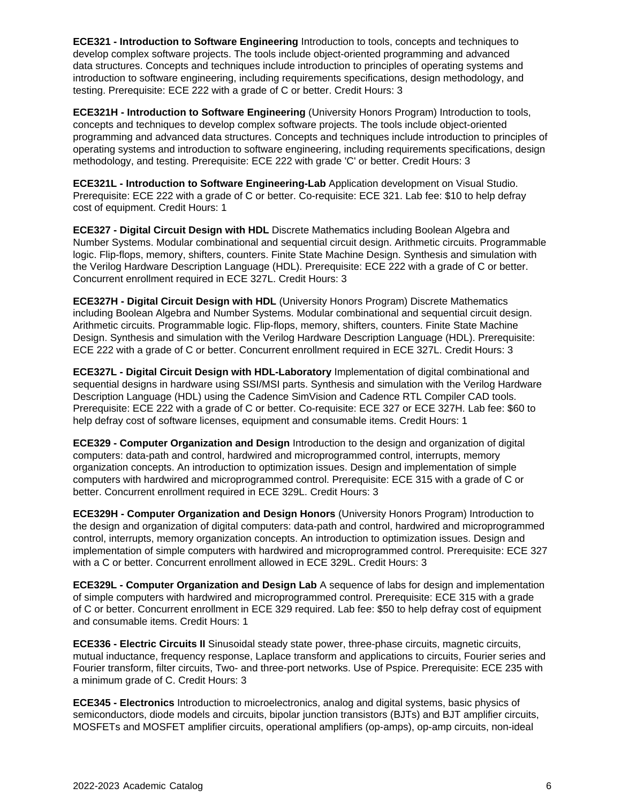**ECE321 - Introduction to Software Engineering** Introduction to tools, concepts and techniques to develop complex software projects. The tools include object-oriented programming and advanced data structures. Concepts and techniques include introduction to principles of operating systems and introduction to software engineering, including requirements specifications, design methodology, and testing. Prerequisite: ECE 222 with a grade of C or better. Credit Hours: 3

**ECE321H - Introduction to Software Engineering** (University Honors Program) Introduction to tools, concepts and techniques to develop complex software projects. The tools include object-oriented programming and advanced data structures. Concepts and techniques include introduction to principles of operating systems and introduction to software engineering, including requirements specifications, design methodology, and testing. Prerequisite: ECE 222 with grade 'C' or better. Credit Hours: 3

**ECE321L - Introduction to Software Engineering-Lab** Application development on Visual Studio. Prerequisite: ECE 222 with a grade of C or better. Co-requisite: ECE 321. Lab fee: \$10 to help defray cost of equipment. Credit Hours: 1

**ECE327 - Digital Circuit Design with HDL** Discrete Mathematics including Boolean Algebra and Number Systems. Modular combinational and sequential circuit design. Arithmetic circuits. Programmable logic. Flip-flops, memory, shifters, counters. Finite State Machine Design. Synthesis and simulation with the Verilog Hardware Description Language (HDL). Prerequisite: ECE 222 with a grade of C or better. Concurrent enrollment required in ECE 327L. Credit Hours: 3

**ECE327H - Digital Circuit Design with HDL** (University Honors Program) Discrete Mathematics including Boolean Algebra and Number Systems. Modular combinational and sequential circuit design. Arithmetic circuits. Programmable logic. Flip-flops, memory, shifters, counters. Finite State Machine Design. Synthesis and simulation with the Verilog Hardware Description Language (HDL). Prerequisite: ECE 222 with a grade of C or better. Concurrent enrollment required in ECE 327L. Credit Hours: 3

**ECE327L - Digital Circuit Design with HDL-Laboratory** Implementation of digital combinational and sequential designs in hardware using SSI/MSI parts. Synthesis and simulation with the Verilog Hardware Description Language (HDL) using the Cadence SimVision and Cadence RTL Compiler CAD tools. Prerequisite: ECE 222 with a grade of C or better. Co-requisite: ECE 327 or ECE 327H. Lab fee: \$60 to help defray cost of software licenses, equipment and consumable items. Credit Hours: 1

**ECE329 - Computer Organization and Design** Introduction to the design and organization of digital computers: data-path and control, hardwired and microprogrammed control, interrupts, memory organization concepts. An introduction to optimization issues. Design and implementation of simple computers with hardwired and microprogrammed control. Prerequisite: ECE 315 with a grade of C or better. Concurrent enrollment required in ECE 329L. Credit Hours: 3

**ECE329H - Computer Organization and Design Honors** (University Honors Program) Introduction to the design and organization of digital computers: data-path and control, hardwired and microprogrammed control, interrupts, memory organization concepts. An introduction to optimization issues. Design and implementation of simple computers with hardwired and microprogrammed control. Prerequisite: ECE 327 with a C or better. Concurrent enrollment allowed in ECE 329L. Credit Hours: 3

**ECE329L - Computer Organization and Design Lab** A sequence of labs for design and implementation of simple computers with hardwired and microprogrammed control. Prerequisite: ECE 315 with a grade of C or better. Concurrent enrollment in ECE 329 required. Lab fee: \$50 to help defray cost of equipment and consumable items. Credit Hours: 1

**ECE336 - Electric Circuits II** Sinusoidal steady state power, three-phase circuits, magnetic circuits, mutual inductance, frequency response, Laplace transform and applications to circuits, Fourier series and Fourier transform, filter circuits, Two- and three-port networks. Use of Pspice. Prerequisite: ECE 235 with a minimum grade of C. Credit Hours: 3

**ECE345 - Electronics** Introduction to microelectronics, analog and digital systems, basic physics of semiconductors, diode models and circuits, bipolar junction transistors (BJTs) and BJT amplifier circuits, MOSFETs and MOSFET amplifier circuits, operational amplifiers (op-amps), op-amp circuits, non-ideal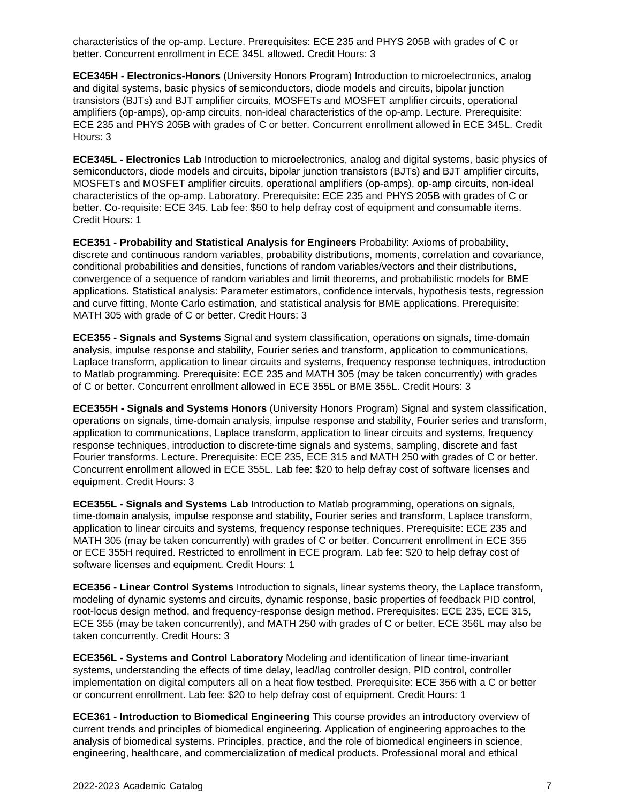characteristics of the op-amp. Lecture. Prerequisites: ECE 235 and PHYS 205B with grades of C or better. Concurrent enrollment in ECE 345L allowed. Credit Hours: 3

**ECE345H - Electronics-Honors** (University Honors Program) Introduction to microelectronics, analog and digital systems, basic physics of semiconductors, diode models and circuits, bipolar junction transistors (BJTs) and BJT amplifier circuits, MOSFETs and MOSFET amplifier circuits, operational amplifiers (op-amps), op-amp circuits, non-ideal characteristics of the op-amp. Lecture. Prerequisite: ECE 235 and PHYS 205B with grades of C or better. Concurrent enrollment allowed in ECE 345L. Credit Hours: 3

**ECE345L - Electronics Lab** Introduction to microelectronics, analog and digital systems, basic physics of semiconductors, diode models and circuits, bipolar junction transistors (BJTs) and BJT amplifier circuits, MOSFETs and MOSFET amplifier circuits, operational amplifiers (op-amps), op-amp circuits, non-ideal characteristics of the op-amp. Laboratory. Prerequisite: ECE 235 and PHYS 205B with grades of C or better. Co-requisite: ECE 345. Lab fee: \$50 to help defray cost of equipment and consumable items. Credit Hours: 1

**ECE351 - Probability and Statistical Analysis for Engineers** Probability: Axioms of probability, discrete and continuous random variables, probability distributions, moments, correlation and covariance, conditional probabilities and densities, functions of random variables/vectors and their distributions, convergence of a sequence of random variables and limit theorems, and probabilistic models for BME applications. Statistical analysis: Parameter estimators, confidence intervals, hypothesis tests, regression and curve fitting, Monte Carlo estimation, and statistical analysis for BME applications. Prerequisite: MATH 305 with grade of C or better. Credit Hours: 3

**ECE355 - Signals and Systems** Signal and system classification, operations on signals, time-domain analysis, impulse response and stability, Fourier series and transform, application to communications, Laplace transform, application to linear circuits and systems, frequency response techniques, introduction to Matlab programming. Prerequisite: ECE 235 and MATH 305 (may be taken concurrently) with grades of C or better. Concurrent enrollment allowed in ECE 355L or BME 355L. Credit Hours: 3

**ECE355H - Signals and Systems Honors** (University Honors Program) Signal and system classification, operations on signals, time-domain analysis, impulse response and stability, Fourier series and transform, application to communications, Laplace transform, application to linear circuits and systems, frequency response techniques, introduction to discrete-time signals and systems, sampling, discrete and fast Fourier transforms. Lecture. Prerequisite: ECE 235, ECE 315 and MATH 250 with grades of C or better. Concurrent enrollment allowed in ECE 355L. Lab fee: \$20 to help defray cost of software licenses and equipment. Credit Hours: 3

**ECE355L - Signals and Systems Lab** Introduction to Matlab programming, operations on signals, time-domain analysis, impulse response and stability, Fourier series and transform, Laplace transform, application to linear circuits and systems, frequency response techniques. Prerequisite: ECE 235 and MATH 305 (may be taken concurrently) with grades of C or better. Concurrent enrollment in ECE 355 or ECE 355H required. Restricted to enrollment in ECE program. Lab fee: \$20 to help defray cost of software licenses and equipment. Credit Hours: 1

**ECE356 - Linear Control Systems** Introduction to signals, linear systems theory, the Laplace transform, modeling of dynamic systems and circuits, dynamic response, basic properties of feedback PID control, root-locus design method, and frequency-response design method. Prerequisites: ECE 235, ECE 315, ECE 355 (may be taken concurrently), and MATH 250 with grades of C or better. ECE 356L may also be taken concurrently. Credit Hours: 3

**ECE356L - Systems and Control Laboratory** Modeling and identification of linear time-invariant systems, understanding the effects of time delay, lead/lag controller design, PID control, controller implementation on digital computers all on a heat flow testbed. Prerequisite: ECE 356 with a C or better or concurrent enrollment. Lab fee: \$20 to help defray cost of equipment. Credit Hours: 1

**ECE361 - Introduction to Biomedical Engineering** This course provides an introductory overview of current trends and principles of biomedical engineering. Application of engineering approaches to the analysis of biomedical systems. Principles, practice, and the role of biomedical engineers in science, engineering, healthcare, and commercialization of medical products. Professional moral and ethical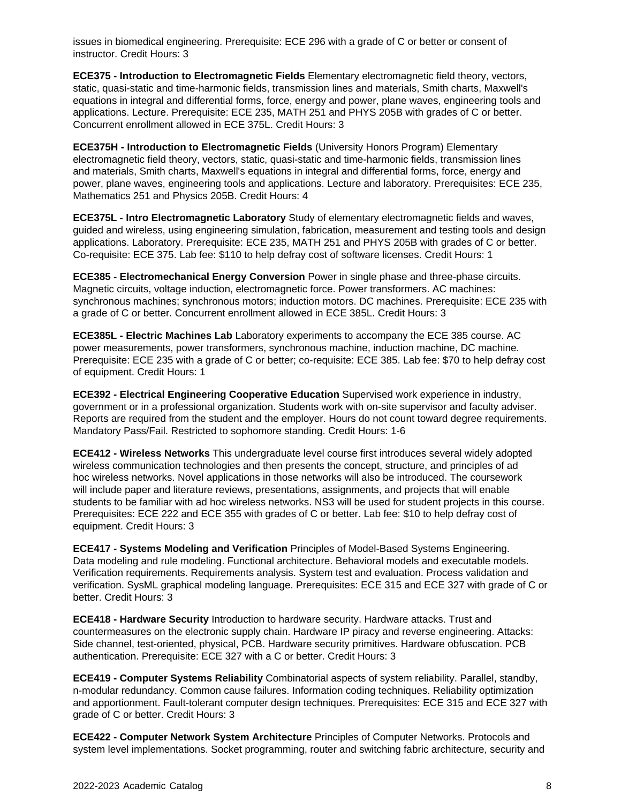issues in biomedical engineering. Prerequisite: ECE 296 with a grade of C or better or consent of instructor. Credit Hours: 3

**ECE375 - Introduction to Electromagnetic Fields** Elementary electromagnetic field theory, vectors, static, quasi-static and time-harmonic fields, transmission lines and materials, Smith charts, Maxwell's equations in integral and differential forms, force, energy and power, plane waves, engineering tools and applications. Lecture. Prerequisite: ECE 235, MATH 251 and PHYS 205B with grades of C or better. Concurrent enrollment allowed in ECE 375L. Credit Hours: 3

**ECE375H - Introduction to Electromagnetic Fields** (University Honors Program) Elementary electromagnetic field theory, vectors, static, quasi-static and time-harmonic fields, transmission lines and materials, Smith charts, Maxwell's equations in integral and differential forms, force, energy and power, plane waves, engineering tools and applications. Lecture and laboratory. Prerequisites: ECE 235, Mathematics 251 and Physics 205B. Credit Hours: 4

**ECE375L - Intro Electromagnetic Laboratory** Study of elementary electromagnetic fields and waves, guided and wireless, using engineering simulation, fabrication, measurement and testing tools and design applications. Laboratory. Prerequisite: ECE 235, MATH 251 and PHYS 205B with grades of C or better. Co-requisite: ECE 375. Lab fee: \$110 to help defray cost of software licenses. Credit Hours: 1

**ECE385 - Electromechanical Energy Conversion** Power in single phase and three-phase circuits. Magnetic circuits, voltage induction, electromagnetic force. Power transformers. AC machines: synchronous machines; synchronous motors; induction motors. DC machines. Prerequisite: ECE 235 with a grade of C or better. Concurrent enrollment allowed in ECE 385L. Credit Hours: 3

**ECE385L - Electric Machines Lab** Laboratory experiments to accompany the ECE 385 course. AC power measurements, power transformers, synchronous machine, induction machine, DC machine. Prerequisite: ECE 235 with a grade of C or better; co-requisite: ECE 385. Lab fee: \$70 to help defray cost of equipment. Credit Hours: 1

**ECE392 - Electrical Engineering Cooperative Education** Supervised work experience in industry, government or in a professional organization. Students work with on-site supervisor and faculty adviser. Reports are required from the student and the employer. Hours do not count toward degree requirements. Mandatory Pass/Fail. Restricted to sophomore standing. Credit Hours: 1-6

**ECE412 - Wireless Networks** This undergraduate level course first introduces several widely adopted wireless communication technologies and then presents the concept, structure, and principles of ad hoc wireless networks. Novel applications in those networks will also be introduced. The coursework will include paper and literature reviews, presentations, assignments, and projects that will enable students to be familiar with ad hoc wireless networks. NS3 will be used for student projects in this course. Prerequisites: ECE 222 and ECE 355 with grades of C or better. Lab fee: \$10 to help defray cost of equipment. Credit Hours: 3

**ECE417 - Systems Modeling and Verification** Principles of Model-Based Systems Engineering. Data modeling and rule modeling. Functional architecture. Behavioral models and executable models. Verification requirements. Requirements analysis. System test and evaluation. Process validation and verification. SysML graphical modeling language. Prerequisites: ECE 315 and ECE 327 with grade of C or better. Credit Hours: 3

**ECE418 - Hardware Security** Introduction to hardware security. Hardware attacks. Trust and countermeasures on the electronic supply chain. Hardware IP piracy and reverse engineering. Attacks: Side channel, test-oriented, physical, PCB. Hardware security primitives. Hardware obfuscation. PCB authentication. Prerequisite: ECE 327 with a C or better. Credit Hours: 3

**ECE419 - Computer Systems Reliability** Combinatorial aspects of system reliability. Parallel, standby, n-modular redundancy. Common cause failures. Information coding techniques. Reliability optimization and apportionment. Fault-tolerant computer design techniques. Prerequisites: ECE 315 and ECE 327 with grade of C or better. Credit Hours: 3

**ECE422 - Computer Network System Architecture** Principles of Computer Networks. Protocols and system level implementations. Socket programming, router and switching fabric architecture, security and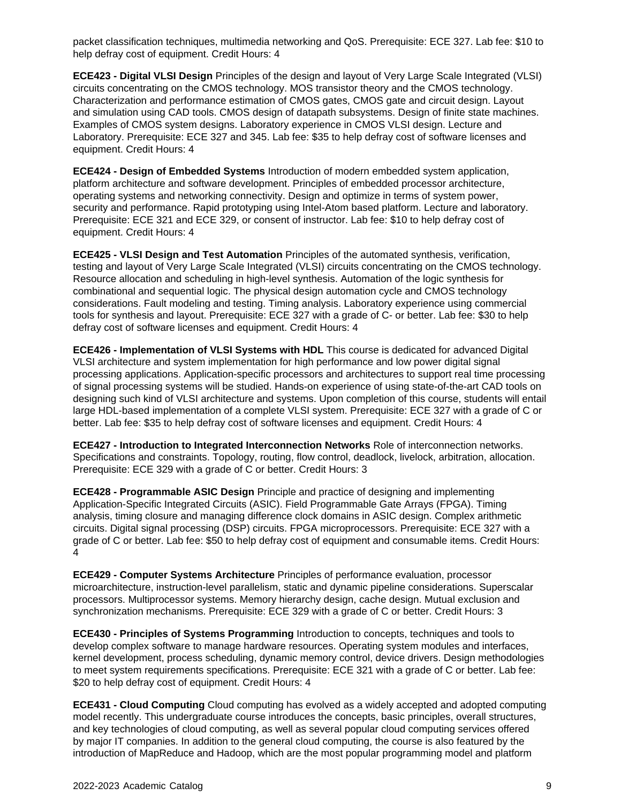packet classification techniques, multimedia networking and QoS. Prerequisite: ECE 327. Lab fee: \$10 to help defray cost of equipment. Credit Hours: 4

**ECE423 - Digital VLSI Design** Principles of the design and layout of Very Large Scale Integrated (VLSI) circuits concentrating on the CMOS technology. MOS transistor theory and the CMOS technology. Characterization and performance estimation of CMOS gates, CMOS gate and circuit design. Layout and simulation using CAD tools. CMOS design of datapath subsystems. Design of finite state machines. Examples of CMOS system designs. Laboratory experience in CMOS VLSI design. Lecture and Laboratory. Prerequisite: ECE 327 and 345. Lab fee: \$35 to help defray cost of software licenses and equipment. Credit Hours: 4

**ECE424 - Design of Embedded Systems** Introduction of modern embedded system application, platform architecture and software development. Principles of embedded processor architecture, operating systems and networking connectivity. Design and optimize in terms of system power, security and performance. Rapid prototyping using Intel-Atom based platform. Lecture and laboratory. Prerequisite: ECE 321 and ECE 329, or consent of instructor. Lab fee: \$10 to help defray cost of equipment. Credit Hours: 4

**ECE425 - VLSI Design and Test Automation** Principles of the automated synthesis, verification, testing and layout of Very Large Scale Integrated (VLSI) circuits concentrating on the CMOS technology. Resource allocation and scheduling in high-level synthesis. Automation of the logic synthesis for combinational and sequential logic. The physical design automation cycle and CMOS technology considerations. Fault modeling and testing. Timing analysis. Laboratory experience using commercial tools for synthesis and layout. Prerequisite: ECE 327 with a grade of C- or better. Lab fee: \$30 to help defray cost of software licenses and equipment. Credit Hours: 4

**ECE426 - Implementation of VLSI Systems with HDL** This course is dedicated for advanced Digital VLSI architecture and system implementation for high performance and low power digital signal processing applications. Application-specific processors and architectures to support real time processing of signal processing systems will be studied. Hands-on experience of using state-of-the-art CAD tools on designing such kind of VLSI architecture and systems. Upon completion of this course, students will entail large HDL-based implementation of a complete VLSI system. Prerequisite: ECE 327 with a grade of C or better. Lab fee: \$35 to help defray cost of software licenses and equipment. Credit Hours: 4

**ECE427 - Introduction to Integrated Interconnection Networks** Role of interconnection networks. Specifications and constraints. Topology, routing, flow control, deadlock, livelock, arbitration, allocation. Prerequisite: ECE 329 with a grade of C or better. Credit Hours: 3

**ECE428 - Programmable ASIC Design** Principle and practice of designing and implementing Application-Specific Integrated Circuits (ASIC). Field Programmable Gate Arrays (FPGA). Timing analysis, timing closure and managing difference clock domains in ASIC design. Complex arithmetic circuits. Digital signal processing (DSP) circuits. FPGA microprocessors. Prerequisite: ECE 327 with a grade of C or better. Lab fee: \$50 to help defray cost of equipment and consumable items. Credit Hours: 4

**ECE429 - Computer Systems Architecture** Principles of performance evaluation, processor microarchitecture, instruction-level parallelism, static and dynamic pipeline considerations. Superscalar processors. Multiprocessor systems. Memory hierarchy design, cache design. Mutual exclusion and synchronization mechanisms. Prerequisite: ECE 329 with a grade of C or better. Credit Hours: 3

**ECE430 - Principles of Systems Programming** Introduction to concepts, techniques and tools to develop complex software to manage hardware resources. Operating system modules and interfaces, kernel development, process scheduling, dynamic memory control, device drivers. Design methodologies to meet system requirements specifications. Prerequisite: ECE 321 with a grade of C or better. Lab fee: \$20 to help defray cost of equipment. Credit Hours: 4

**ECE431 - Cloud Computing** Cloud computing has evolved as a widely accepted and adopted computing model recently. This undergraduate course introduces the concepts, basic principles, overall structures, and key technologies of cloud computing, as well as several popular cloud computing services offered by major IT companies. In addition to the general cloud computing, the course is also featured by the introduction of MapReduce and Hadoop, which are the most popular programming model and platform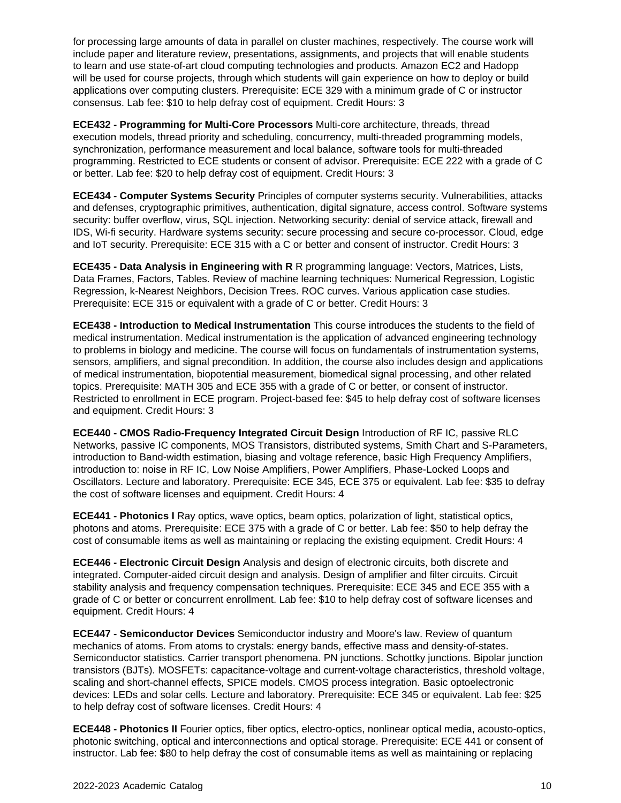for processing large amounts of data in parallel on cluster machines, respectively. The course work will include paper and literature review, presentations, assignments, and projects that will enable students to learn and use state-of-art cloud computing technologies and products. Amazon EC2 and Hadopp will be used for course projects, through which students will gain experience on how to deploy or build applications over computing clusters. Prerequisite: ECE 329 with a minimum grade of C or instructor consensus. Lab fee: \$10 to help defray cost of equipment. Credit Hours: 3

**ECE432 - Programming for Multi-Core Processors** Multi-core architecture, threads, thread execution models, thread priority and scheduling, concurrency, multi-threaded programming models, synchronization, performance measurement and local balance, software tools for multi-threaded programming. Restricted to ECE students or consent of advisor. Prerequisite: ECE 222 with a grade of C or better. Lab fee: \$20 to help defray cost of equipment. Credit Hours: 3

**ECE434 - Computer Systems Security** Principles of computer systems security. Vulnerabilities, attacks and defenses, cryptographic primitives, authentication, digital signature, access control. Software systems security: buffer overflow, virus, SQL injection. Networking security: denial of service attack, firewall and IDS, Wi-fi security. Hardware systems security: secure processing and secure co-processor. Cloud, edge and IoT security. Prerequisite: ECE 315 with a C or better and consent of instructor. Credit Hours: 3

**ECE435 - Data Analysis in Engineering with R** R programming language: Vectors, Matrices, Lists, Data Frames, Factors, Tables. Review of machine learning techniques: Numerical Regression, Logistic Regression, k-Nearest Neighbors, Decision Trees. ROC curves. Various application case studies. Prerequisite: ECE 315 or equivalent with a grade of C or better. Credit Hours: 3

**ECE438 - Introduction to Medical Instrumentation** This course introduces the students to the field of medical instrumentation. Medical instrumentation is the application of advanced engineering technology to problems in biology and medicine. The course will focus on fundamentals of instrumentation systems, sensors, amplifiers, and signal precondition. In addition, the course also includes design and applications of medical instrumentation, biopotential measurement, biomedical signal processing, and other related topics. Prerequisite: MATH 305 and ECE 355 with a grade of C or better, or consent of instructor. Restricted to enrollment in ECE program. Project-based fee: \$45 to help defray cost of software licenses and equipment. Credit Hours: 3

**ECE440 - CMOS Radio-Frequency Integrated Circuit Design** Introduction of RF IC, passive RLC Networks, passive IC components, MOS Transistors, distributed systems, Smith Chart and S-Parameters, introduction to Band-width estimation, biasing and voltage reference, basic High Frequency Amplifiers, introduction to: noise in RF IC, Low Noise Amplifiers, Power Amplifiers, Phase-Locked Loops and Oscillators. Lecture and laboratory. Prerequisite: ECE 345, ECE 375 or equivalent. Lab fee: \$35 to defray the cost of software licenses and equipment. Credit Hours: 4

**ECE441 - Photonics I** Ray optics, wave optics, beam optics, polarization of light, statistical optics, photons and atoms. Prerequisite: ECE 375 with a grade of C or better. Lab fee: \$50 to help defray the cost of consumable items as well as maintaining or replacing the existing equipment. Credit Hours: 4

**ECE446 - Electronic Circuit Design** Analysis and design of electronic circuits, both discrete and integrated. Computer-aided circuit design and analysis. Design of amplifier and filter circuits. Circuit stability analysis and frequency compensation techniques. Prerequisite: ECE 345 and ECE 355 with a grade of C or better or concurrent enrollment. Lab fee: \$10 to help defray cost of software licenses and equipment. Credit Hours: 4

**ECE447 - Semiconductor Devices** Semiconductor industry and Moore's law. Review of quantum mechanics of atoms. From atoms to crystals: energy bands, effective mass and density-of-states. Semiconductor statistics. Carrier transport phenomena. PN junctions. Schottky junctions. Bipolar junction transistors (BJTs). MOSFETs: capacitance-voltage and current-voltage characteristics, threshold voltage, scaling and short-channel effects, SPICE models. CMOS process integration. Basic optoelectronic devices: LEDs and solar cells. Lecture and laboratory. Prerequisite: ECE 345 or equivalent. Lab fee: \$25 to help defray cost of software licenses. Credit Hours: 4

**ECE448 - Photonics II** Fourier optics, fiber optics, electro-optics, nonlinear optical media, acousto-optics, photonic switching, optical and interconnections and optical storage. Prerequisite: ECE 441 or consent of instructor. Lab fee: \$80 to help defray the cost of consumable items as well as maintaining or replacing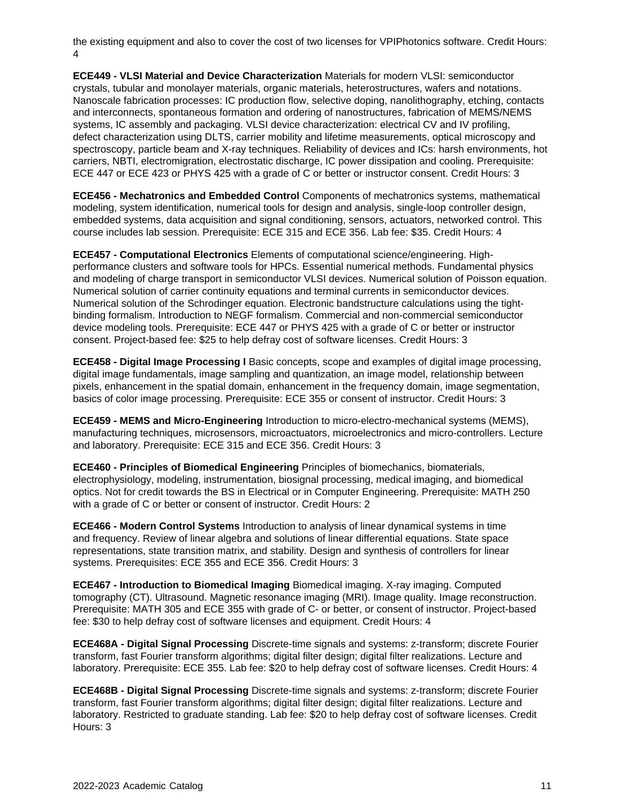the existing equipment and also to cover the cost of two licenses for VPIPhotonics software. Credit Hours: 4

**ECE449 - VLSI Material and Device Characterization** Materials for modern VLSI: semiconductor crystals, tubular and monolayer materials, organic materials, heterostructures, wafers and notations. Nanoscale fabrication processes: IC production flow, selective doping, nanolithography, etching, contacts and interconnects, spontaneous formation and ordering of nanostructures, fabrication of MEMS/NEMS systems, IC assembly and packaging. VLSI device characterization: electrical CV and IV profiling, defect characterization using DLTS, carrier mobility and lifetime measurements, optical microscopy and spectroscopy, particle beam and X-ray techniques. Reliability of devices and ICs: harsh environments, hot carriers, NBTI, electromigration, electrostatic discharge, IC power dissipation and cooling. Prerequisite: ECE 447 or ECE 423 or PHYS 425 with a grade of C or better or instructor consent. Credit Hours: 3

**ECE456 - Mechatronics and Embedded Control** Components of mechatronics systems, mathematical modeling, system identification, numerical tools for design and analysis, single-loop controller design, embedded systems, data acquisition and signal conditioning, sensors, actuators, networked control. This course includes lab session. Prerequisite: ECE 315 and ECE 356. Lab fee: \$35. Credit Hours: 4

**ECE457 - Computational Electronics** Elements of computational science/engineering. Highperformance clusters and software tools for HPCs. Essential numerical methods. Fundamental physics and modeling of charge transport in semiconductor VLSI devices. Numerical solution of Poisson equation. Numerical solution of carrier continuity equations and terminal currents in semiconductor devices. Numerical solution of the Schrodinger equation. Electronic bandstructure calculations using the tightbinding formalism. Introduction to NEGF formalism. Commercial and non-commercial semiconductor device modeling tools. Prerequisite: ECE 447 or PHYS 425 with a grade of C or better or instructor consent. Project-based fee: \$25 to help defray cost of software licenses. Credit Hours: 3

**ECE458 - Digital Image Processing I** Basic concepts, scope and examples of digital image processing, digital image fundamentals, image sampling and quantization, an image model, relationship between pixels, enhancement in the spatial domain, enhancement in the frequency domain, image segmentation, basics of color image processing. Prerequisite: ECE 355 or consent of instructor. Credit Hours: 3

**ECE459 - MEMS and Micro-Engineering** Introduction to micro-electro-mechanical systems (MEMS), manufacturing techniques, microsensors, microactuators, microelectronics and micro-controllers. Lecture and laboratory. Prerequisite: ECE 315 and ECE 356. Credit Hours: 3

**ECE460 - Principles of Biomedical Engineering** Principles of biomechanics, biomaterials, electrophysiology, modeling, instrumentation, biosignal processing, medical imaging, and biomedical optics. Not for credit towards the BS in Electrical or in Computer Engineering. Prerequisite: MATH 250 with a grade of C or better or consent of instructor. Credit Hours: 2

**ECE466 - Modern Control Systems** Introduction to analysis of linear dynamical systems in time and frequency. Review of linear algebra and solutions of linear differential equations. State space representations, state transition matrix, and stability. Design and synthesis of controllers for linear systems. Prerequisites: ECE 355 and ECE 356. Credit Hours: 3

**ECE467 - Introduction to Biomedical Imaging** Biomedical imaging. X-ray imaging. Computed tomography (CT). Ultrasound. Magnetic resonance imaging (MRI). Image quality. Image reconstruction. Prerequisite: MATH 305 and ECE 355 with grade of C- or better, or consent of instructor. Project-based fee: \$30 to help defray cost of software licenses and equipment. Credit Hours: 4

**ECE468A - Digital Signal Processing** Discrete-time signals and systems: z-transform; discrete Fourier transform, fast Fourier transform algorithms; digital filter design; digital filter realizations. Lecture and laboratory. Prerequisite: ECE 355. Lab fee: \$20 to help defray cost of software licenses. Credit Hours: 4

**ECE468B - Digital Signal Processing** Discrete-time signals and systems: z-transform; discrete Fourier transform, fast Fourier transform algorithms; digital filter design; digital filter realizations. Lecture and laboratory. Restricted to graduate standing. Lab fee: \$20 to help defray cost of software licenses. Credit Hours: 3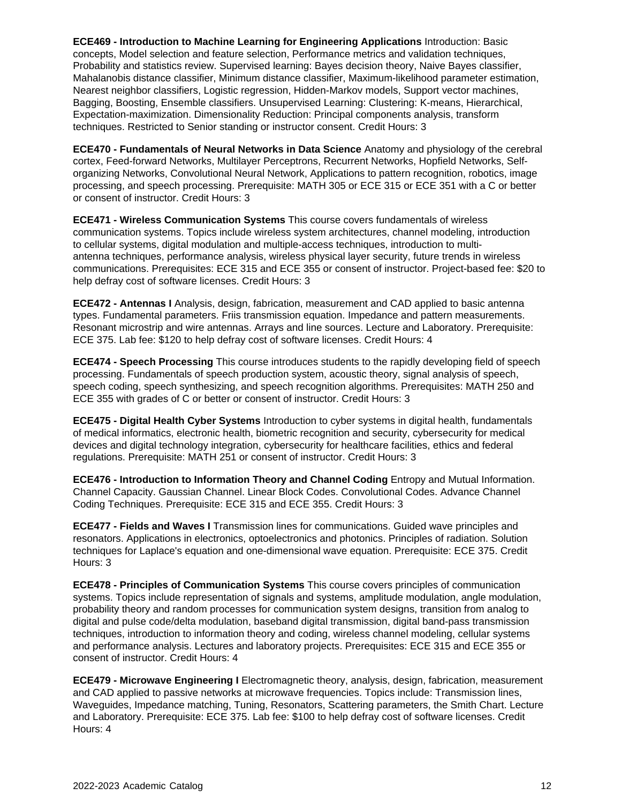**ECE469 - Introduction to Machine Learning for Engineering Applications** Introduction: Basic concepts, Model selection and feature selection, Performance metrics and validation techniques, Probability and statistics review. Supervised learning: Bayes decision theory, Naive Bayes classifier, Mahalanobis distance classifier, Minimum distance classifier, Maximum-likelihood parameter estimation, Nearest neighbor classifiers, Logistic regression, Hidden-Markov models, Support vector machines, Bagging, Boosting, Ensemble classifiers. Unsupervised Learning: Clustering: K-means, Hierarchical, Expectation-maximization. Dimensionality Reduction: Principal components analysis, transform techniques. Restricted to Senior standing or instructor consent. Credit Hours: 3

**ECE470 - Fundamentals of Neural Networks in Data Science** Anatomy and physiology of the cerebral cortex, Feed-forward Networks, Multilayer Perceptrons, Recurrent Networks, Hopfield Networks, Selforganizing Networks, Convolutional Neural Network, Applications to pattern recognition, robotics, image processing, and speech processing. Prerequisite: MATH 305 or ECE 315 or ECE 351 with a C or better or consent of instructor. Credit Hours: 3

**ECE471 - Wireless Communication Systems** This course covers fundamentals of wireless communication systems. Topics include wireless system architectures, channel modeling, introduction to cellular systems, digital modulation and multiple-access techniques, introduction to multiantenna techniques, performance analysis, wireless physical layer security, future trends in wireless communications. Prerequisites: ECE 315 and ECE 355 or consent of instructor. Project-based fee: \$20 to help defray cost of software licenses. Credit Hours: 3

**ECE472 - Antennas I** Analysis, design, fabrication, measurement and CAD applied to basic antenna types. Fundamental parameters. Friis transmission equation. Impedance and pattern measurements. Resonant microstrip and wire antennas. Arrays and line sources. Lecture and Laboratory. Prerequisite: ECE 375. Lab fee: \$120 to help defray cost of software licenses. Credit Hours: 4

**ECE474 - Speech Processing** This course introduces students to the rapidly developing field of speech processing. Fundamentals of speech production system, acoustic theory, signal analysis of speech, speech coding, speech synthesizing, and speech recognition algorithms. Prerequisites: MATH 250 and ECE 355 with grades of C or better or consent of instructor. Credit Hours: 3

**ECE475 - Digital Health Cyber Systems** Introduction to cyber systems in digital health, fundamentals of medical informatics, electronic health, biometric recognition and security, cybersecurity for medical devices and digital technology integration, cybersecurity for healthcare facilities, ethics and federal regulations. Prerequisite: MATH 251 or consent of instructor. Credit Hours: 3

**ECE476 - Introduction to Information Theory and Channel Coding** Entropy and Mutual Information. Channel Capacity. Gaussian Channel. Linear Block Codes. Convolutional Codes. Advance Channel Coding Techniques. Prerequisite: ECE 315 and ECE 355. Credit Hours: 3

**ECE477 - Fields and Waves I** Transmission lines for communications. Guided wave principles and resonators. Applications in electronics, optoelectronics and photonics. Principles of radiation. Solution techniques for Laplace's equation and one-dimensional wave equation. Prerequisite: ECE 375. Credit Hours: 3

**ECE478 - Principles of Communication Systems** This course covers principles of communication systems. Topics include representation of signals and systems, amplitude modulation, angle modulation, probability theory and random processes for communication system designs, transition from analog to digital and pulse code/delta modulation, baseband digital transmission, digital band-pass transmission techniques, introduction to information theory and coding, wireless channel modeling, cellular systems and performance analysis. Lectures and laboratory projects. Prerequisites: ECE 315 and ECE 355 or consent of instructor. Credit Hours: 4

**ECE479 - Microwave Engineering I** Electromagnetic theory, analysis, design, fabrication, measurement and CAD applied to passive networks at microwave frequencies. Topics include: Transmission lines, Waveguides, Impedance matching, Tuning, Resonators, Scattering parameters, the Smith Chart. Lecture and Laboratory. Prerequisite: ECE 375. Lab fee: \$100 to help defray cost of software licenses. Credit Hours: 4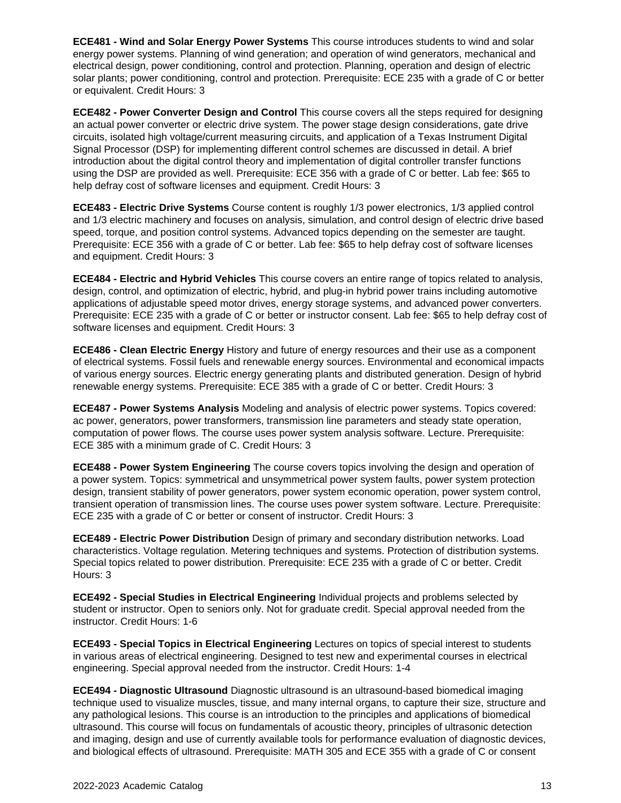**ECE481 - Wind and Solar Energy Power Systems** This course introduces students to wind and solar energy power systems. Planning of wind generation; and operation of wind generators, mechanical and electrical design, power conditioning, control and protection. Planning, operation and design of electric solar plants; power conditioning, control and protection. Prerequisite: ECE 235 with a grade of C or better or equivalent. Credit Hours: 3

**ECE482 - Power Converter Design and Control** This course covers all the steps required for designing an actual power converter or electric drive system. The power stage design considerations, gate drive circuits, isolated high voltage/current measuring circuits, and application of a Texas Instrument Digital Signal Processor (DSP) for implementing different control schemes are discussed in detail. A brief introduction about the digital control theory and implementation of digital controller transfer functions using the DSP are provided as well. Prerequisite: ECE 356 with a grade of C or better. Lab fee: \$65 to help defray cost of software licenses and equipment. Credit Hours: 3

**ECE483 - Electric Drive Systems** Course content is roughly 1/3 power electronics, 1/3 applied control and 1/3 electric machinery and focuses on analysis, simulation, and control design of electric drive based speed, torque, and position control systems. Advanced topics depending on the semester are taught. Prerequisite: ECE 356 with a grade of C or better. Lab fee: \$65 to help defray cost of software licenses and equipment. Credit Hours: 3

**ECE484 - Electric and Hybrid Vehicles** This course covers an entire range of topics related to analysis, design, control, and optimization of electric, hybrid, and plug-in hybrid power trains including automotive applications of adjustable speed motor drives, energy storage systems, and advanced power converters. Prerequisite: ECE 235 with a grade of C or better or instructor consent. Lab fee: \$65 to help defray cost of software licenses and equipment. Credit Hours: 3

**ECE486 - Clean Electric Energy** History and future of energy resources and their use as a component of electrical systems. Fossil fuels and renewable energy sources. Environmental and economical impacts of various energy sources. Electric energy generating plants and distributed generation. Design of hybrid renewable energy systems. Prerequisite: ECE 385 with a grade of C or better. Credit Hours: 3

**ECE487 - Power Systems Analysis** Modeling and analysis of electric power systems. Topics covered: ac power, generators, power transformers, transmission line parameters and steady state operation, computation of power flows. The course uses power system analysis software. Lecture. Prerequisite: ECE 385 with a minimum grade of C. Credit Hours: 3

**ECE488 - Power System Engineering** The course covers topics involving the design and operation of a power system. Topics: symmetrical and unsymmetrical power system faults, power system protection design, transient stability of power generators, power system economic operation, power system control, transient operation of transmission lines. The course uses power system software. Lecture. Prerequisite: ECE 235 with a grade of C or better or consent of instructor. Credit Hours: 3

**ECE489 - Electric Power Distribution** Design of primary and secondary distribution networks. Load characteristics. Voltage regulation. Metering techniques and systems. Protection of distribution systems. Special topics related to power distribution. Prerequisite: ECE 235 with a grade of C or better. Credit Hours: 3

**ECE492 - Special Studies in Electrical Engineering** Individual projects and problems selected by student or instructor. Open to seniors only. Not for graduate credit. Special approval needed from the instructor. Credit Hours: 1-6

**ECE493 - Special Topics in Electrical Engineering** Lectures on topics of special interest to students in various areas of electrical engineering. Designed to test new and experimental courses in electrical engineering. Special approval needed from the instructor. Credit Hours: 1-4

**ECE494 - Diagnostic Ultrasound** Diagnostic ultrasound is an ultrasound-based biomedical imaging technique used to visualize muscles, tissue, and many internal organs, to capture their size, structure and any pathological lesions. This course is an introduction to the principles and applications of biomedical ultrasound. This course will focus on fundamentals of acoustic theory, principles of ultrasonic detection and imaging, design and use of currently available tools for performance evaluation of diagnostic devices, and biological effects of ultrasound. Prerequisite: MATH 305 and ECE 355 with a grade of C or consent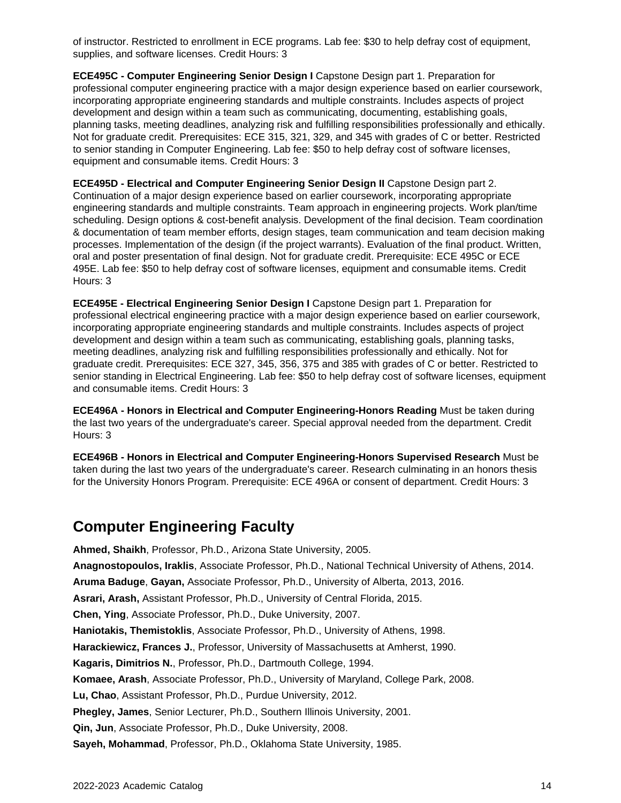of instructor. Restricted to enrollment in ECE programs. Lab fee: \$30 to help defray cost of equipment, supplies, and software licenses. Credit Hours: 3

**ECE495C - Computer Engineering Senior Design I** Capstone Design part 1. Preparation for professional computer engineering practice with a major design experience based on earlier coursework, incorporating appropriate engineering standards and multiple constraints. Includes aspects of project development and design within a team such as communicating, documenting, establishing goals, planning tasks, meeting deadlines, analyzing risk and fulfilling responsibilities professionally and ethically. Not for graduate credit. Prerequisites: ECE 315, 321, 329, and 345 with grades of C or better. Restricted to senior standing in Computer Engineering. Lab fee: \$50 to help defray cost of software licenses, equipment and consumable items. Credit Hours: 3

**ECE495D - Electrical and Computer Engineering Senior Design II** Capstone Design part 2. Continuation of a major design experience based on earlier coursework, incorporating appropriate engineering standards and multiple constraints. Team approach in engineering projects. Work plan/time scheduling. Design options & cost-benefit analysis. Development of the final decision. Team coordination & documentation of team member efforts, design stages, team communication and team decision making processes. Implementation of the design (if the project warrants). Evaluation of the final product. Written, oral and poster presentation of final design. Not for graduate credit. Prerequisite: ECE 495C or ECE 495E. Lab fee: \$50 to help defray cost of software licenses, equipment and consumable items. Credit Hours: 3

**ECE495E - Electrical Engineering Senior Design I** Capstone Design part 1. Preparation for professional electrical engineering practice with a major design experience based on earlier coursework, incorporating appropriate engineering standards and multiple constraints. Includes aspects of project development and design within a team such as communicating, establishing goals, planning tasks, meeting deadlines, analyzing risk and fulfilling responsibilities professionally and ethically. Not for graduate credit. Prerequisites: ECE 327, 345, 356, 375 and 385 with grades of C or better. Restricted to senior standing in Electrical Engineering. Lab fee: \$50 to help defray cost of software licenses, equipment and consumable items. Credit Hours: 3

**ECE496A - Honors in Electrical and Computer Engineering-Honors Reading** Must be taken during the last two years of the undergraduate's career. Special approval needed from the department. Credit Hours: 3

**ECE496B - Honors in Electrical and Computer Engineering-Honors Supervised Research** Must be taken during the last two years of the undergraduate's career. Research culminating in an honors thesis for the University Honors Program. Prerequisite: ECE 496A or consent of department. Credit Hours: 3

## **Computer Engineering Faculty**

**Ahmed, Shaikh**, Professor, Ph.D., Arizona State University, 2005.

**Anagnostopoulos, Iraklis**, Associate Professor, Ph.D., National Technical University of Athens, 2014.

**Aruma Baduge**, **Gayan,** Associate Professor, Ph.D., University of Alberta, 2013, 2016.

**Asrari, Arash,** Assistant Professor, Ph.D., University of Central Florida, 2015.

**Chen, Ying**, Associate Professor, Ph.D., Duke University, 2007.

**Haniotakis, Themistoklis**, Associate Professor, Ph.D., University of Athens, 1998.

**Harackiewicz, Frances J.**, Professor, University of Massachusetts at Amherst, 1990.

**Kagaris, Dimitrios N.**, Professor, Ph.D., Dartmouth College, 1994.

**Komaee, Arash**, Associate Professor, Ph.D., University of Maryland, College Park, 2008.

**Lu, Chao**, Assistant Professor, Ph.D., Purdue University, 2012.

**Phegley, James**, Senior Lecturer, Ph.D., Southern Illinois University, 2001.

**Qin, Jun**, Associate Professor, Ph.D., Duke University, 2008.

**Sayeh, Mohammad**, Professor, Ph.D., Oklahoma State University, 1985.